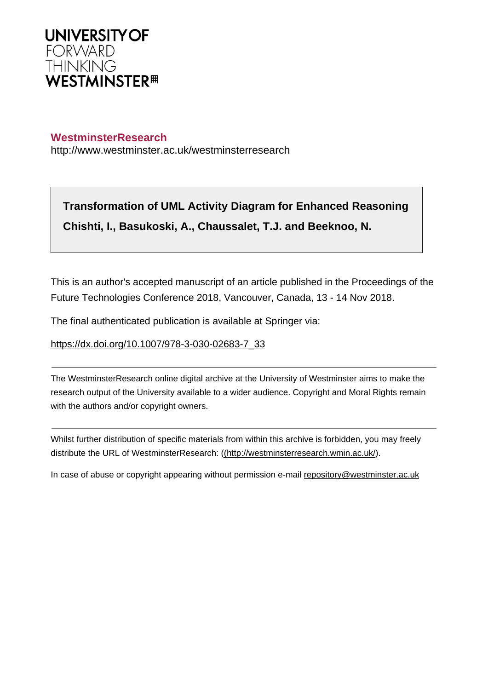

# **WestminsterResearch**

http://www.westminster.ac.uk/westminsterresearch

**Transformation of UML Activity Diagram for Enhanced Reasoning Chishti, I., Basukoski, A., Chaussalet, T.J. and Beeknoo, N.**

This is an author's accepted manuscript of an article published in the Proceedings of the Future Technologies Conference 2018, Vancouver, Canada, 13 - 14 Nov 2018.

The final authenticated publication is available at Springer via:

[https://dx.doi.org/10.1007/978-3-030-02683-7\\_33](https://dx.doi.org/10.1007/978-3-030-02683-7_33)

The WestminsterResearch online digital archive at the University of Westminster aims to make the research output of the University available to a wider audience. Copyright and Moral Rights remain with the authors and/or copyright owners.

Whilst further distribution of specific materials from within this archive is forbidden, you may freely distribute the URL of WestminsterResearch: [\(\(http://westminsterresearch.wmin.ac.uk/](http://westminsterresearch.wmin.ac.uk/)).

In case of abuse or copyright appearing without permission e-mail <repository@westminster.ac.uk>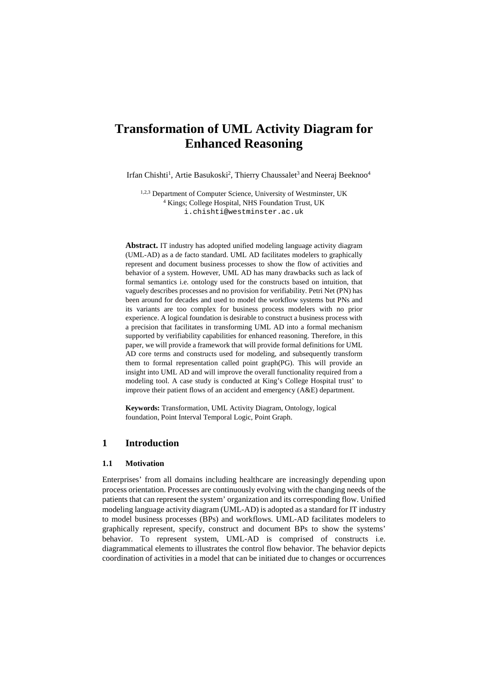# **Transformation of UML Activity Diagram for Enhanced Reasoning**

Irfan Chishti<sup>1</sup>, Artie Basukoski<sup>2</sup>, Thierry Chaussalet<sup>3</sup> and Neeraj Beeknoo<sup>4</sup>

1,2,3 Department of Computer Science, University of Westminster, UK <sup>4</sup> Kings; College Hospital, NHS Foundation Trust, UK i.chishti@westminster.ac.uk

**Abstract.** IT industry has adopted unified modeling language activity diagram (UML-AD) as a de facto standard. UML AD facilitates modelers to graphically represent and document business processes to show the flow of activities and behavior of a system. However, UML AD has many drawbacks such as lack of formal semantics i.e. ontology used for the constructs based on intuition, that vaguely describes processes and no provision for verifiability. Petri Net (PN) has been around for decades and used to model the workflow systems but PNs and its variants are too complex for business process modelers with no prior experience. A logical foundation is desirable to construct a business process with a precision that facilitates in transforming UML AD into a formal mechanism supported by verifiability capabilities for enhanced reasoning. Therefore, in this paper, we will provide a framework that will provide formal definitions for UML AD core terms and constructs used for modeling, and subsequently transform them to formal representation called point graph(PG). This will provide an insight into UML AD and will improve the overall functionality required from a modeling tool. A case study is conducted at King's College Hospital trust' to improve their patient flows of an accident and emergency (A&E) department.

**Keywords:** Transformation, UML Activity Diagram, Ontology, logical foundation, Point Interval Temporal Logic, Point Graph.

# **1 Introduction**

## **1.1 Motivation**

Enterprises' from all domains including healthcare are increasingly depending upon process orientation. Processes are continuously evolving with the changing needs of the patients that can represent the system' organization and its corresponding flow. Unified modeling language activity diagram (UML-AD) is adopted as a standard for IT industry to model business processes (BPs) and workflows. UML-AD facilitates modelers to graphically represent, specify, construct and document BPs to show the systems' behavior. To represent system, UML-AD is comprised of constructs i.e. diagrammatical elements to illustrates the control flow behavior. The behavior depicts coordination of activities in a model that can be initiated due to changes or occurrences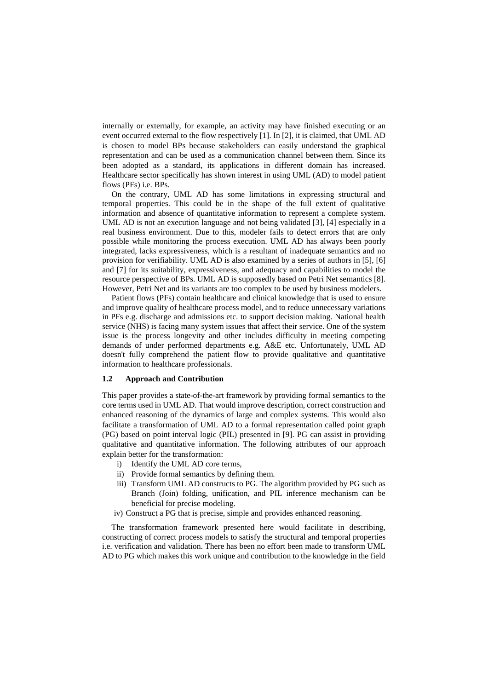internally or externally, for example, an activity may have finished executing or an event occurred external to the flow respectively [1]. In [2], it is claimed, that UML AD is chosen to model BPs because stakeholders can easily understand the graphical representation and can be used as a communication channel between them. Since its been adopted as a standard, its applications in different domain has increased. Healthcare sector specifically has shown interest in using UML (AD) to model patient flows (PFs) i.e. BPs.

On the contrary, UML AD has some limitations in expressing structural and temporal properties. This could be in the shape of the full extent of qualitative information and absence of quantitative information to represent a complete system. UML AD is not an execution language and not being validated [3], [4] especially in a real business environment. Due to this, modeler fails to detect errors that are only possible while monitoring the process execution. UML AD has always been poorly integrated, lacks expressiveness, which is a resultant of inadequate semantics and no provision for verifiability. UML AD is also examined by a series of authors in [5], [6] and [7] for its suitability, expressiveness, and adequacy and capabilities to model the resource perspective of BPs. UML AD is supposedly based on Petri Net semantics [8]. However, Petri Net and its variants are too complex to be used by business modelers.

Patient flows (PFs) contain healthcare and clinical knowledge that is used to ensure and improve quality of healthcare process model, and to reduce unnecessary variations in PFs e.g. discharge and admissions etc. to support decision making. National health service (NHS) is facing many system issues that affect their service. One of the system issue is the process longevity and other includes difficulty in meeting competing demands of under performed departments e.g. A&E etc. Unfortunately, UML AD doesn't fully comprehend the patient flow to provide qualitative and quantitative information to healthcare professionals.

#### **1.2 Approach and Contribution**

This paper provides a state-of-the-art framework by providing formal semantics to the core terms used in UML AD. That would improve description, correct construction and enhanced reasoning of the dynamics of large and complex systems. This would also facilitate a transformation of UML AD to a formal representation called point graph (PG) based on point interval logic (PIL) presented in [9]. PG can assist in providing qualitative and quantitative information. The following attributes of our approach explain better for the transformation:

- i) Identify the UML AD core terms,
- ii) Provide formal semantics by defining them.
- iii) Transform UML AD constructs to PG. The algorithm provided by PG such as Branch (Join) folding, unification, and PIL inference mechanism can be beneficial for precise modeling.
- iv) Construct a PG that is precise, simple and provides enhanced reasoning.

The transformation framework presented here would facilitate in describing, constructing of correct process models to satisfy the structural and temporal properties i.e. verification and validation. There has been no effort been made to transform UML AD to PG which makes this work unique and contribution to the knowledge in the field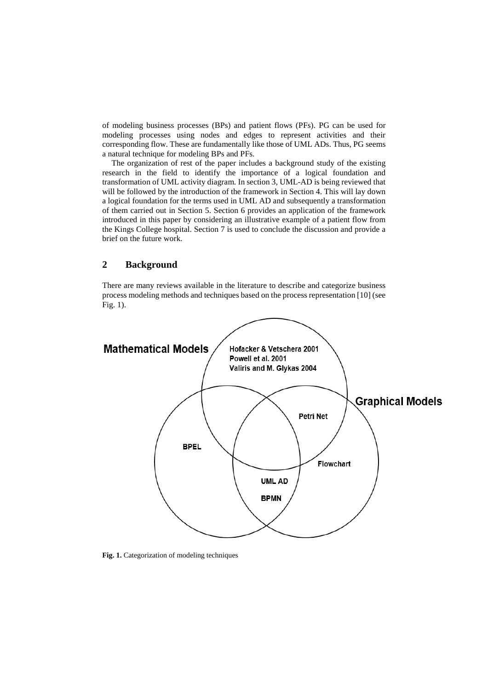of modeling business processes (BPs) and patient flows (PFs). PG can be used for modeling processes using nodes and edges to represent activities and their corresponding flow. These are fundamentally like those of UML ADs. Thus, PG seems a natural technique for modeling BPs and PFs.

The organization of rest of the paper includes a background study of the existing research in the field to identify the importance of a logical foundation and transformation of UML activity diagram. In section 3, UML-AD is being reviewed that will be followed by the introduction of the framework in Section 4. This will lay down a logical foundation for the terms used in UML AD and subsequently a transformation of them carried out in Section 5. Section 6 provides an application of the framework introduced in this paper by considering an illustrative example of a patient flow from the Kings College hospital. Section 7 is used to conclude the discussion and provide a brief on the future work.

# **2 Background**

There are many reviews available in the literature to describe and categorize business process modeling methods and techniques based on the process representation [10] (see Fig. 1).



**Fig. 1.** Categorization of modeling techniques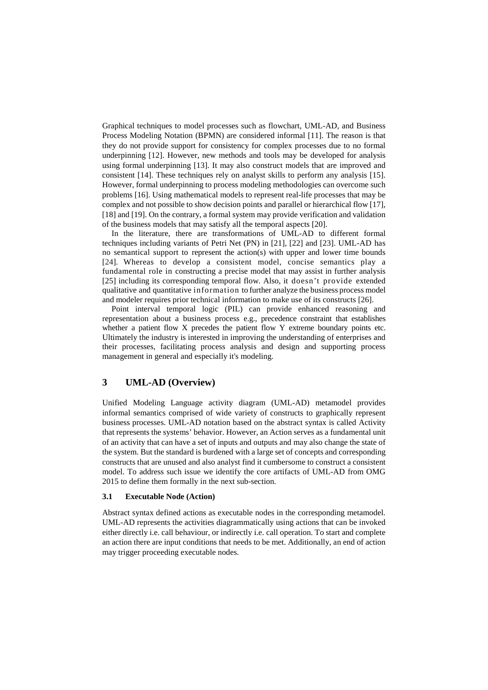Graphical techniques to model processes such as flowchart, UML-AD, and Business Process Modeling Notation (BPMN) are considered informal [11]. The reason is that they do not provide support for consistency for complex processes due to no formal underpinning [12]. However, new methods and tools may be developed for analysis using formal underpinning [13]. It may also construct models that are improved and consistent [14]. These techniques rely on analyst skills to perform any analysis [15]. However, formal underpinning to process modeling methodologies can overcome such problems [16]. Using mathematical models to represent real-life processes that may be complex and not possible to show decision points and parallel or hierarchical flow [17], [18] and [19]. On the contrary, a formal system may provide verification and validation of the business models that may satisfy all the temporal aspects [20].

In the literature, there are transformations of UML-AD to different formal techniques including variants of Petri Net (PN) in [21], [22] and [23]. UML-AD has no semantical support to represent the action(s) with upper and lower time bounds [24]. Whereas to develop a consistent model, concise semantics play a fundamental role in constructing a precise model that may assist in further analysis [25] including its corresponding temporal flow. Also, it doesn't provide extended qualitative and quantitative information to further analyze the business process model and modeler requires prior technical information to make use of its constructs [26].

Point interval temporal logic (PIL) can provide enhanced reasoning and representation about a business process e.g., precedence constraint that establishes whether a patient flow X precedes the patient flow Y extreme boundary points etc. Ultimately the industry is interested in improving the understanding of enterprises and their processes, facilitating process analysis and design and supporting process management in general and especially it's modeling.

# **3 UML-AD (Overview)**

Unified Modeling Language activity diagram (UML-AD) metamodel provides informal semantics comprised of wide variety of constructs to graphically represent business processes. UML-AD notation based on the abstract syntax is called Activity that represents the systems' behavior. However, an Action serves as a fundamental unit of an activity that can have a set of inputs and outputs and may also change the state of the system. But the standard is burdened with a large set of concepts and corresponding constructs that are unused and also analyst find it cumbersome to construct a consistent model. To address such issue we identify the core artifacts of UML-AD from OMG 2015 to define them formally in the next sub-section.

#### **3.1 Executable Node (Action)**

Abstract syntax defined actions as executable nodes in the corresponding metamodel. UML-AD represents the activities diagrammatically using actions that can be invoked either directly i.e. call behaviour, or indirectly i.e. call operation. To start and complete an action there are input conditions that needs to be met. Additionally, an end of action may trigger proceeding executable nodes.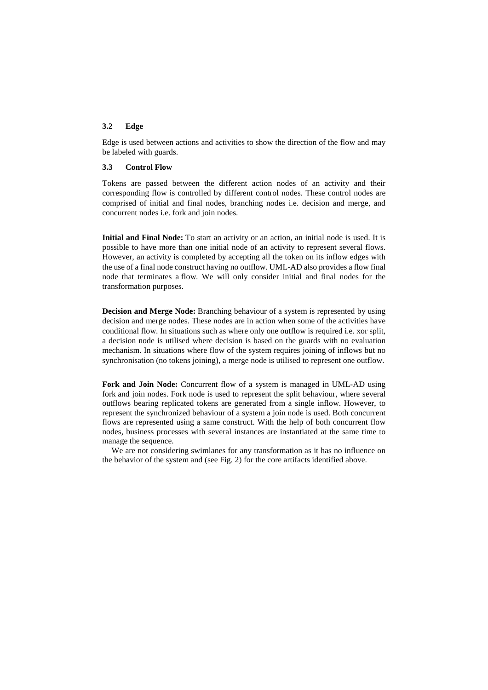#### **3.2 Edge**

Edge is used between actions and activities to show the direction of the flow and may be labeled with guards.

#### **3.3 Control Flow**

Tokens are passed between the different action nodes of an activity and their corresponding flow is controlled by different control nodes. These control nodes are comprised of initial and final nodes, branching nodes i.e. decision and merge, and concurrent nodes i.e. fork and join nodes.

**Initial and Final Node:** To start an activity or an action, an initial node is used. It is possible to have more than one initial node of an activity to represent several flows. However, an activity is completed by accepting all the token on its inflow edges with the use of a final node construct having no outflow. UML-AD also provides a flow final node that terminates a flow. We will only consider initial and final nodes for the transformation purposes.

**Decision and Merge Node:** Branching behaviour of a system is represented by using decision and merge nodes. These nodes are in action when some of the activities have conditional flow. In situations such as where only one outflow is required i.e. xor split, a decision node is utilised where decision is based on the guards with no evaluation mechanism. In situations where flow of the system requires joining of inflows but no synchronisation (no tokens joining), a merge node is utilised to represent one outflow.

**Fork and Join Node:** Concurrent flow of a system is managed in UML-AD using fork and join nodes. Fork node is used to represent the split behaviour, where several outflows bearing replicated tokens are generated from a single inflow. However, to represent the synchronized behaviour of a system a join node is used. Both concurrent flows are represented using a same construct. With the help of both concurrent flow nodes, business processes with several instances are instantiated at the same time to manage the sequence.

We are not considering swimlanes for any transformation as it has no influence on the behavior of the system and (see Fig. 2) for the core artifacts identified above.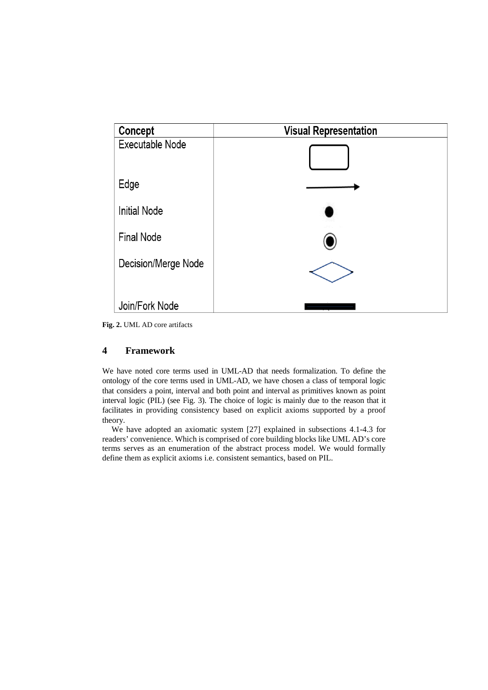

**Fig. 2.** UML AD core artifacts

# **4 Framework**

We have noted core terms used in UML-AD that needs formalization. To define the ontology of the core terms used in UML-AD, we have chosen a class of temporal logic that considers a point, interval and both point and interval as primitives known as point interval logic (PIL) (see Fig. 3). The choice of logic is mainly due to the reason that it facilitates in providing consistency based on explicit axioms supported by a proof theory.

We have adopted an axiomatic system [27] explained in subsections 4.1-4.3 for readers' convenience. Which is comprised of core building blocks like UML AD's core terms serves as an enumeration of the abstract process model. We would formally define them as explicit axioms i.e. consistent semantics, based on PIL.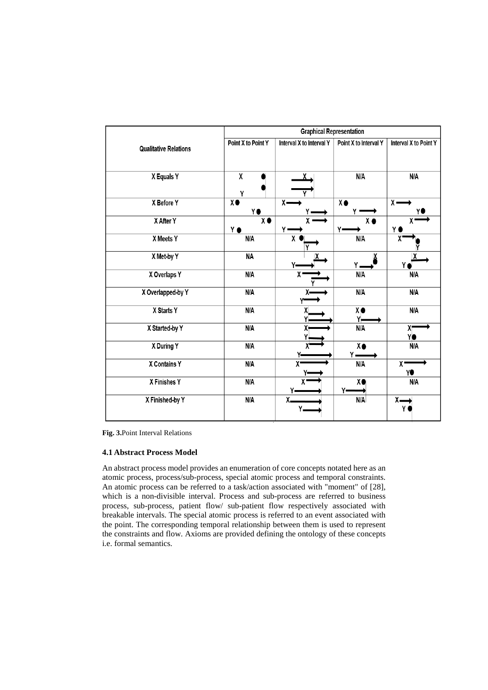|                              | <b>Graphical Representation</b> |                          |                       |                       |  |
|------------------------------|---------------------------------|--------------------------|-----------------------|-----------------------|--|
| <b>Qualitative Relations</b> | Point X to Point Y              | Interval X to Interval Y | Point X to Interval Y | Interval X to Point Y |  |
| X Equals Y                   | χ<br>Υ                          |                          | N/A                   | N/A                   |  |
| X Before Y                   | $\overline{\mathbf{X}}$<br>Y٥   | $x -$                    | $X \bullet$           | $x -$<br>Y(           |  |
| X After Y                    | $\overline{\mathbf{X}}$<br>Y ●  | χ.<br>γ.                 | X <sub>o</sub><br>Y۰  | χ<br>Y (              |  |
| X Meets Y                    | N/A                             | χ                        | N/A                   | χ                     |  |
| X Met-by Y                   | <b>NA</b>                       |                          |                       | Υ                     |  |
| X Overlaps Y                 | N/A                             | χ                        | N/A                   | N/A                   |  |
| X Overlapped-by Y            | N/A                             | χ.                       | N/A                   | N/A                   |  |
| X Starts Y                   | N/A                             |                          | $X \bullet$<br>Y,     | N/A                   |  |
| X Started-by Y               | N/A                             |                          | N/A                   | χ<br>Y١               |  |
| X During Y                   | N/A                             |                          | $X \bullet$<br>γ.     | N/A                   |  |
| <b>X Contains Y</b>          | N/A                             | $\overline{\mathsf{x}}$  | N/A                   | $\mathbf{X}$<br>Y●    |  |
| X Finishes Y                 | N/A                             | χ                        | X                     | N/A                   |  |
| X Finished-by Y              | N/A                             | $X_{-}$<br>Υ.            | N/A                   | $x-$<br>Y             |  |

**Fig. 3.**Point Interval Relations

#### **4.1 Abstract Process Model**

An abstract process model provides an enumeration of core concepts notated here as an atomic process, process/sub-process, special atomic process and temporal constraints. An atomic process can be referred to a task/action associated with "moment" of [28], which is a non-divisible interval. Process and sub-process are referred to business process, sub-process, patient flow/ sub-patient flow respectively associated with breakable intervals. The special atomic process is referred to an event associated with the point. The corresponding temporal relationship between them is used to represent the constraints and flow. Axioms are provided defining the ontology of these concepts i.e. formal semantics.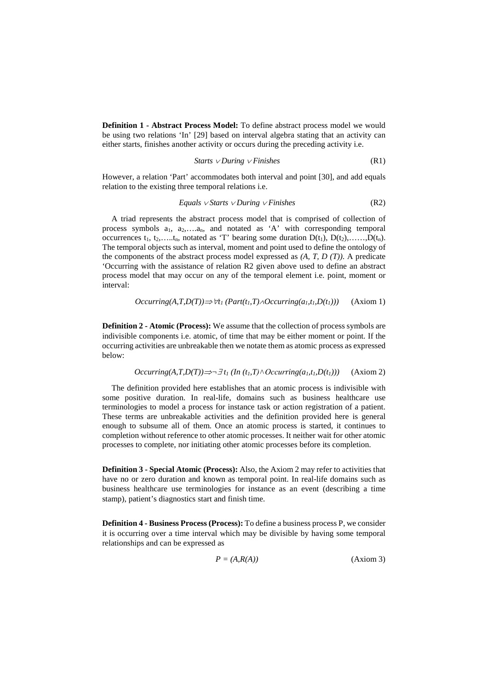**Definition 1 - Abstract Process Model:** To define abstract process model we would be using two relations 'In' [29] based on interval algebra stating that an activity can either starts, finishes another activity or occurs during the preceding activity i.e.

$$
Starts \lor During \lor Finishes
$$
 (R1)

However, a relation 'Part' accommodates both interval and point [30], and add equals relation to the existing three temporal relations i.e.

$$
Equals \vee \text{Starts} \vee \text{During} \vee \text{Finishes} \tag{R2}
$$

A triad represents the abstract process model that is comprised of collection of process symbols  $a_1$ ,  $a_2$ ,.... $a_n$ , and notated as 'A' with corresponding temporal occurrences  $t_1, t_2, \ldots, t_n$ , notated as 'T' bearing some duration  $D(t_1), D(t_2), \ldots, D(t_n)$ . The temporal objects such as interval, moment and point used to define the ontology of the components of the abstract process model expressed as *(A, T, D (T))*. A predicate 'Occurring with the assistance of relation R2 given above used to define an abstract process model that may occur on any of the temporal element i.e. point, moment or interval:

$$
Occurring(A, T, D(T)) \Rightarrow \forall t_1 \ (Part(t_1, T) \land Occurring(a_1, t_1, D(t_1))) \quad \text{(Axiom 1)}
$$

**Definition 2 - Atomic (Process):** We assume that the collection of process symbols are indivisible components i.e. atomic, of time that may be either moment or point. If the occurring activities are unbreakable then we notate them as atomic process as expressed below:

$$
Occuring(A, T, D(T)) \implies \exists t_1 \ (In \ (t_1, T) \land Occurring(a_1, t_1, D(t_1))) \tag{Axiom 2}
$$

The definition provided here establishes that an atomic process is indivisible with some positive duration. In real-life, domains such as business healthcare use terminologies to model a process for instance task or action registration of a patient. These terms are unbreakable activities and the definition provided here is general enough to subsume all of them. Once an atomic process is started, it continues to completion without reference to other atomic processes. It neither wait for other atomic processes to complete, nor initiating other atomic processes before its completion.

**Definition 3 - Special Atomic (Process):** Also, the Axiom 2 may refer to activities that have no or zero duration and known as temporal point. In real-life domains such as business healthcare use terminologies for instance as an event (describing a time stamp), patient's diagnostics start and finish time.

**Definition 4 - Business Process (Process):** To define a business process P, we consider it is occurring over a time interval which may be divisible by having some temporal relationships and can be expressed as

$$
P = (A, R(A))
$$
 (Axiom 3)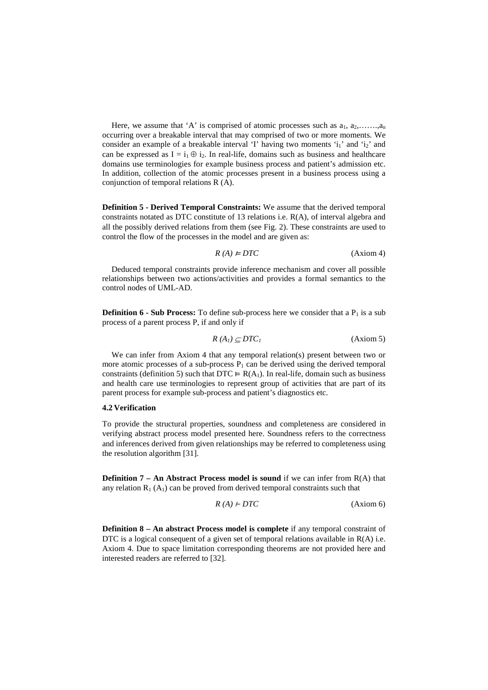Here, we assume that 'A' is comprised of atomic processes such as  $a_1, a_2, \ldots, a_n$ occurring over a breakable interval that may comprised of two or more moments. We consider an example of a breakable interval 'I' having two moments  $i_1$ ' and  $i_2$ ' and can be expressed as  $I = i_1 \oplus i_2$ . In real-life, domains such as business and healthcare domains use terminologies for example business process and patient's admission etc. In addition, collection of the atomic processes present in a business process using a conjunction of temporal relations R (A).

**Definition 5 - Derived Temporal Constraints:** We assume that the derived temporal constraints notated as DTC constitute of 13 relations i.e. R(A), of interval algebra and all the possibly derived relations from them (see Fig. 2). These constraints are used to control the flow of the processes in the model and are given as:

$$
R(A) \neq DTC
$$
 (Axiom 4)

Deduced temporal constraints provide inference mechanism and cover all possible relationships between two actions/activities and provides a formal semantics to the control nodes of UML-AD.

**Definition 6 - Sub Process:** To define sub-process here we consider that a  $P_1$  is a sub process of a parent process P, if and only if

$$
R(A_1) \subseteq DTC_1 \tag{Axiom 5}
$$

We can infer from Axiom 4 that any temporal relation(s) present between two or more atomic processes of a sub-process  $P_1$  can be derived using the derived temporal constraints (definition 5) such that DTC  $= R(A_1)$ . In real-life, domain such as business and health care use terminologies to represent group of activities that are part of its parent process for example sub-process and patient's diagnostics etc.

## **4.2 Verification**

To provide the structural properties, soundness and completeness are considered in verifying abstract process model presented here. Soundness refers to the correctness and inferences derived from given relationships may be referred to completeness using the resolution algorithm [31].

**Definition 7 – An Abstract Process model is sound** if we can infer from R(A) that any relation  $R_1(A_1)$  can be proved from derived temporal constraints such that

$$
R(A) \, \text{+} \, \text{DTC} \tag{Axiom 6}
$$

**Definition 8 – An abstract Process model is complete** if any temporal constraint of DTC is a logical consequent of a given set of temporal relations available in  $R(A)$  i.e. Axiom 4. Due to space limitation corresponding theorems are not provided here and interested readers are referred to [32].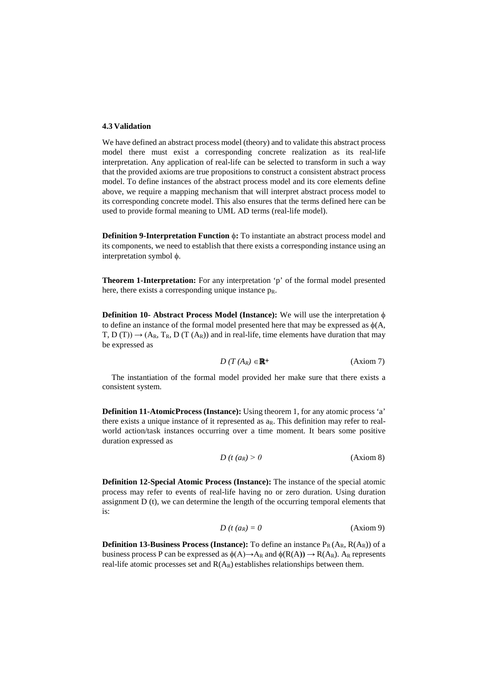#### **4.3 Validation**

We have defined an abstract process model (theory) and to validate this abstract process model there must exist a corresponding concrete realization as its real-life interpretation. Any application of real-life can be selected to transform in such a way that the provided axioms are true propositions to construct a consistent abstract process model. To define instances of the abstract process model and its core elements define above, we require a mapping mechanism that will interpret abstract process model to its corresponding concrete model. This also ensures that the terms defined here can be used to provide formal meaning to UML AD terms (real-life model).

**Definition 9-Interpretation <b>Function**  $\phi$ : To instantiate an abstract process model and its components, we need to establish that there exists a corresponding instance using an interpretation symbol φ.

**Theorem 1-Interpretation:** For any interpretation 'p' of the formal model presented here, there exists a corresponding unique instance  $p_R$ .

**Definition 10- Abstract Process Model (Instance):** We will use the interpretation φ to define an instance of the formal model presented here that may be expressed as  $\phi(A, \theta)$ T, D (T))  $\rightarrow$  (A<sub>R</sub>, T<sub>R</sub>, D (T (A<sub>R</sub>)) and in real-life, time elements have duration that may be expressed as

$$
D(T(A_R) \in \mathbb{R}^+ \tag{Axiom 7}
$$

The instantiation of the formal model provided her make sure that there exists a consistent system.

**Definition 11-AtomicProcess (Instance):** Using theorem 1, for any atomic process 'a' there exists a unique instance of it represented as  $a<sub>R</sub>$ . This definition may refer to realworld action/task instances occurring over a time moment. It bears some positive duration expressed as

$$
D(t (a_R) > 0 \tag{Axiom 8}
$$

**Definition 12-Special Atomic Process (Instance):** The instance of the special atomic process may refer to events of real-life having no or zero duration. Using duration assignment D (t), we can determine the length of the occurring temporal elements that is:

$$
D(t (a_R) = 0 \tag{Axiom 9}
$$

**Definition 13-Business Process (Instance):** To define an instance  $P_R(A_R, R(A_R))$  of a business process P can be expressed as  $\phi(A) \rightarrow A_R$  and  $\phi(R(A)) \rightarrow R(A_R)$ . A<sub>R</sub> represents real-life atomic processes set and  $R(A_R)$  establishes relationships between them.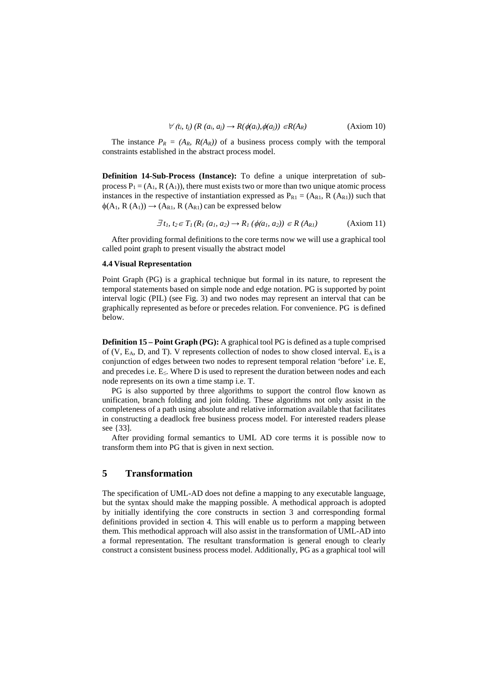$$
\forall (t_i, t_j) (R (a_i, a_j) \rightarrow R(\phi(a_i), \phi(a_j)) \in R(A_R)
$$
 (Axiom 10)

The instance  $P_R = (A_R, R(A_R))$  of a business process comply with the temporal constraints established in the abstract process model.

**Definition 14-Sub-Process (Instance):** To define a unique interpretation of subprocess  $P_1 = (A_1, R(A_1))$ , there must exists two or more than two unique atomic process instances in the respective of instantiation expressed as  $P_{R1} = (A_{R1}, R (A_{R1}))$  such that  $\phi(A_1, R(A_1)) \rightarrow (A_{R1}, R(A_{R1})$  can be expressed below

$$
\exists t_1, t_2 \in T_1(R_1(a_1, a_2) \to R_1(\phi(a_1, a_2)) \in R(A_{R1}) \tag{Axiom 11}
$$

After providing formal definitions to the core terms now we will use a graphical tool called point graph to present visually the abstract model

#### **4.4 Visual Representation**

Point Graph (PG) is a graphical technique but formal in its nature, to represent the temporal statements based on simple node and edge notation. PG is supported by point interval logic (PIL) (see Fig. 3) and two nodes may represent an interval that can be graphically represented as before or precedes relation. For convenience. PG is defined below.

**Definition 15 – Point Graph (PG):** A graphical tool PG is defined as a tuple comprised of  $(V, E<sub>A</sub>, D, and T)$ . V represents collection of nodes to show closed interval.  $E<sub>A</sub>$  is a conjunction of edges between two nodes to represent temporal relation 'before' i.e. E, and precedes i.e. E≤. Where D is used to represent the duration between nodes and each node represents on its own a time stamp i.e. T.

PG is also supported by three algorithms to support the control flow known as unification, branch folding and join folding. These algorithms not only assist in the completeness of a path using absolute and relative information available that facilitates in constructing a deadlock free business process model. For interested readers please see {33].

After providing formal semantics to UML AD core terms it is possible now to transform them into PG that is given in next section.

# **5 Transformation**

The specification of UML-AD does not define a mapping to any executable language, but the syntax should make the mapping possible. A methodical approach is adopted by initially identifying the core constructs in section 3 and corresponding formal definitions provided in section 4. This will enable us to perform a mapping between them. This methodical approach will also assist in the transformation of UML-AD into a formal representation. The resultant transformation is general enough to clearly construct a consistent business process model. Additionally, PG as a graphical tool will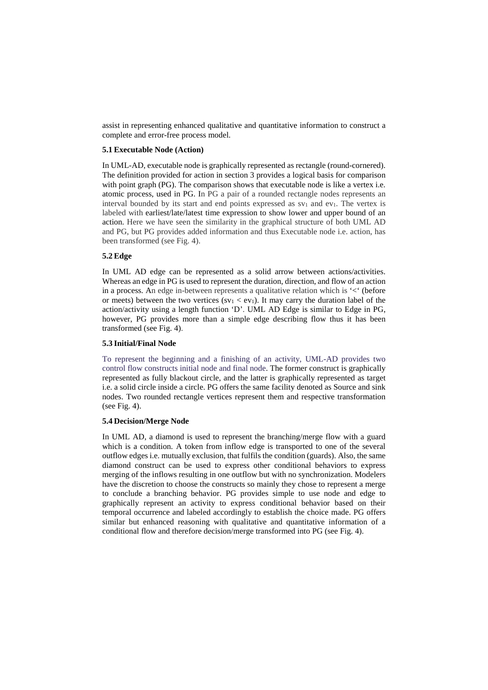assist in representing enhanced qualitative and quantitative information to construct a complete and error-free process model.

## **5.1 Executable Node (Action)**

In UML-AD, executable node is graphically represented as rectangle (round-cornered). The definition provided for action in section 3 provides a logical basis for comparison with point graph (PG). The comparison shows that executable node is like a vertex i.e. atomic process, used in PG. In PG a pair of a rounded rectangle nodes represents an interval bounded by its start and end points expressed as  $sv_1$  and  $ev_1$ . The vertex is labeled with earliest/late/latest time expression to show lower and upper bound of an action. Here we have seen the similarity in the graphical structure of both UML AD and PG, but PG provides added information and thus Executable node i.e. action, has been transformed (see Fig. 4).

## **5.2 Edge**

In UML AD edge can be represented as a solid arrow between actions/activities. Whereas an edge in PG is used to represent the duration, direction, and flow of an action in a process. An edge in-between represents a qualitative relation which is  $\leq$  (before or meets) between the two vertices  $(sv_1 < ev_1)$ . It may carry the duration label of the action/activity using a length function 'D'. UML AD Edge is similar to Edge in PG, however, PG provides more than a simple edge describing flow thus it has been transformed (see Fig. 4).

#### **5.3 Initial/Final Node**

To represent the beginning and a finishing of an activity, UML-AD provides two control flow constructs initial node and final node. The former construct is graphically represented as fully blackout circle, and the latter is graphically represented as target i.e. a solid circle inside a circle. PG offers the same facility denoted as Source and sink nodes. Two rounded rectangle vertices represent them and respective transformation (see Fig. 4).

## **5.4 Decision/Merge Node**

In UML AD, a diamond is used to represent the branching/merge flow with a guard which is a condition. A token from inflow edge is transported to one of the several outflow edges i.e. mutually exclusion, that fulfils the condition (guards). Also, the same diamond construct can be used to express other conditional behaviors to express merging of the inflows resulting in one outflow but with no synchronization. Modelers have the discretion to choose the constructs so mainly they chose to represent a merge to conclude a branching behavior. PG provides simple to use node and edge to graphically represent an activity to express conditional behavior based on their temporal occurrence and labeled accordingly to establish the choice made. PG offers similar but enhanced reasoning with qualitative and quantitative information of a conditional flow and therefore decision/merge transformed into PG (see Fig. 4).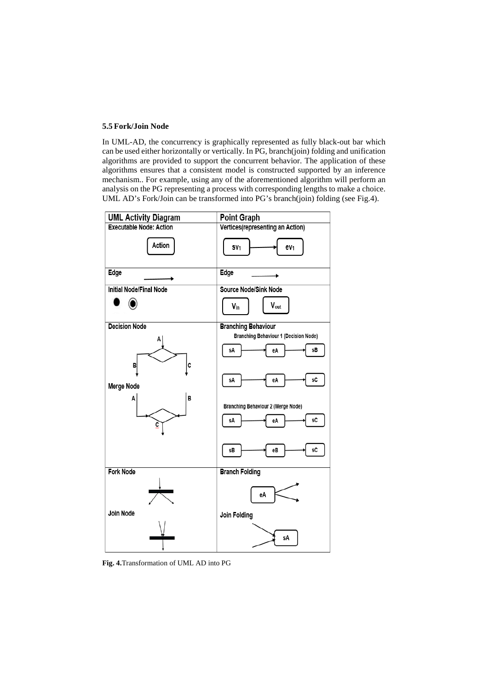#### **5.5 Fork/Join Node**

In UML-AD, the concurrency is graphically represented as fully black-out bar which can be used either horizontally or vertically. In PG, branch(join) folding and unification algorithms are provided to support the concurrent behavior. The application of these algorithms ensures that a consistent model is constructed supported by an inference mechanism.. For example, using any of the aforementioned algorithm will perform an analysis on the PG representing a process with corresponding lengths to make a choice. UML AD's Fork/Join can be transformed into PG's branch(join) folding (see Fig.4).



**Fig. 4.**Transformation of UML AD into PG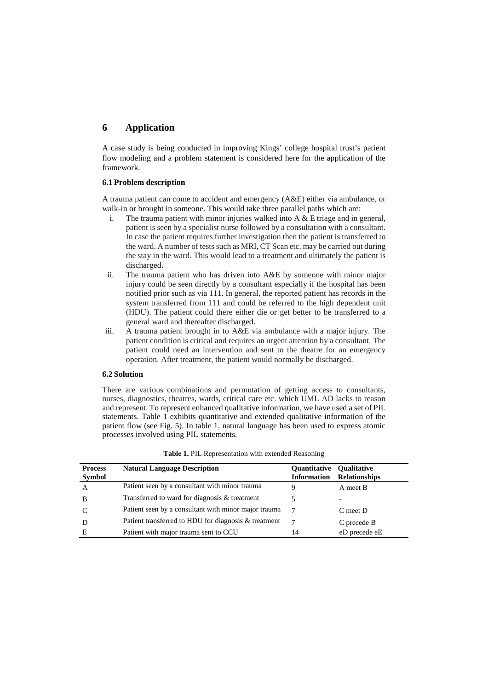# **6 Application**

A case study is being conducted in improving Kings' college hospital trust's patient flow modeling and a problem statement is considered here for the application of the framework.

# **6.1 Problem description**

A trauma patient can come to accident and emergency (A&E) either via ambulance, or walk-in or brought in someone. This would take three parallel paths which are:

- i. The trauma patient with minor injuries walked into  $A \& E$  triage and in general, patient is seen by a specialist nurse followed by a consultation with a consultant. In case the patient requires further investigation then the patient is transferred to the ward. A number of tests such as MRI, CT Scan etc. may be carried out during the stay in the ward. This would lead to a treatment and ultimately the patient is discharged.
- ii. The trauma patient who has driven into A&E by someone with minor major injury could be seen directly by a consultant especially if the hospital has been notified prior such as via 111. In general, the reported patient has records in the system transferred from 111 and could be referred to the high dependent unit (HDU). The patient could there either die or get better to be transferred to a general ward and thereafter discharged.
- iii. A trauma patient brought in to A&E via ambulance with a major injury. The patient condition is critical and requires an urgent attention by a consultant. The patient could need an intervention and sent to the theatre for an emergency operation. After treatment, the patient would normally be discharged.

#### **6.2 Solution**

There are various combinations and permutation of getting access to consultants, nurses, diagnostics, theatres, wards, critical care etc. which UML AD lacks to reason and represent. To represent enhanced qualitative information, we have used a set of PIL statements. Table 1 exhibits quantitative and extended qualitative information of the patient flow (see Fig. 5). In table 1, natural language has been used to express atomic processes involved using PIL statements.

| <b>Process</b> | <b>Natural Language Description</b>                  | <b>Ouantitative</b> | <b>Qualitative</b>   |
|----------------|------------------------------------------------------|---------------------|----------------------|
| <b>Symbol</b>  |                                                      | <b>Information</b>  | <b>Relationships</b> |
| А              | Patient seen by a consultant with minor trauma       | Q                   | A meet B             |
| B              | Transferred to ward for diagnosis & treatment        |                     |                      |
|                | Patient seen by a consultant with minor major trauma |                     | $C$ meet $D$         |
|                | Patient transferred to HDU for diagnosis & treatment |                     | C precede B          |
| Е              | Patient with major trauma sent to CCU                | 14                  | eD precede eE        |

| Table 1. PIL Representation with extended Reasoning |  |  |
|-----------------------------------------------------|--|--|
|-----------------------------------------------------|--|--|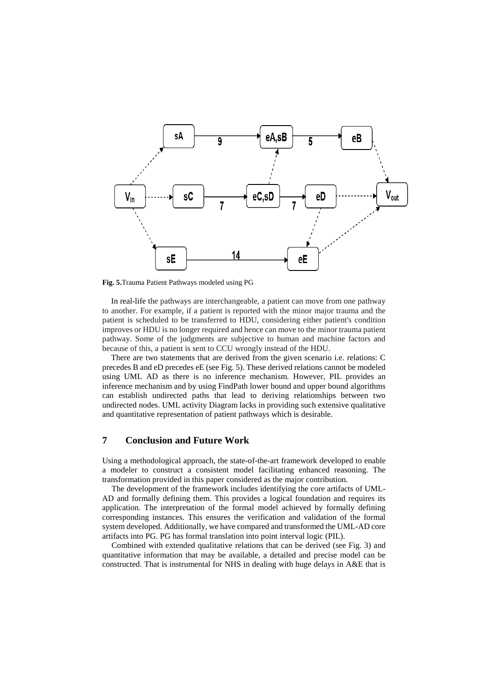

**Fig. 5.**Trauma Patient Pathways modeled using PG

In real-life the pathways are interchangeable, a patient can move from one pathway to another. For example, if a patient is reported with the minor major trauma and the patient is scheduled to be transferred to HDU, considering either patient's condition improves or HDU is no longer required and hence can move to the minor trauma patient pathway. Some of the judgments are subjective to human and machine factors and because of this, a patient is sent to CCU wrongly instead of the HDU.

There are two statements that are derived from the given scenario i.e. relations: C precedes B and eD precedes eE (see Fig. 5). These derived relations cannot be modeled using UML AD as there is no inference mechanism. However, PIL provides an inference mechanism and by using FindPath lower bound and upper bound algorithms can establish undirected paths that lead to deriving relationships between two undirected nodes. UML activity Diagram lacks in providing such extensive qualitative and quantitative representation of patient pathways which is desirable.

# **7 Conclusion and Future Work**

Using a methodological approach, the state-of-the-art framework developed to enable a modeler to construct a consistent model facilitating enhanced reasoning. The transformation provided in this paper considered as the major contribution.

The development of the framework includes identifying the core artifacts of UML-AD and formally defining them. This provides a logical foundation and requires its application. The interpretation of the formal model achieved by formally defining corresponding instances. This ensures the verification and validation of the formal system developed. Additionally, we have compared and transformed the UML-AD core artifacts into PG. PG has formal translation into point interval logic (PIL).

Combined with extended qualitative relations that can be derived (see Fig. 3) and quantitative information that may be available, a detailed and precise model can be constructed. That is instrumental for NHS in dealing with huge delays in A&E that is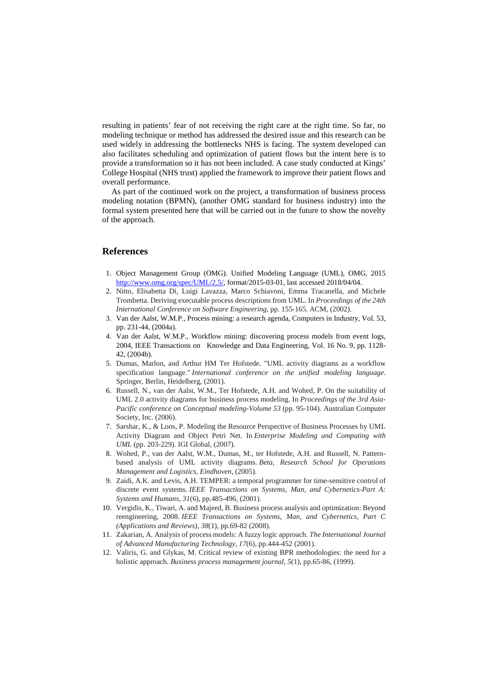resulting in patients' fear of not receiving the right care at the right time. So far, no modeling technique or method has addressed the desired issue and this research can be used widely in addressing the bottlenecks NHS is facing. The system developed can also facilitates scheduling and optimization of patient flows but the intent here is to provide a transformation so it has not been included. A case study conducted at Kings' College Hospital (NHS trust) applied the framework to improve their patient flows and overall performance.

As part of the continued work on the project, a transformation of business process modeling notation (BPMN), (another OMG standard for business industry) into the formal system presented here that will be carried out in the future to show the novelty of the approach.

# **References**

- 1. Object Management Group (OMG). Unified Modeling Language (UML), OMG, 2015 [http://www.omg.org/spec/UML/2.5/,](http://www.omg.org/spec/UML/2.5/) format/2015-03-01, last accessed 2018/04/04.
- 2. Nitto, Elisabetta Di, Luigi Lavazza, Marco Schiavoni, Emma Tracanella, and Michele Trombetta. Deriving executable process descriptions from UML. In *Proceedings of the 24th International Conference on Software Engineering*, pp. 155-165. ACM, (2002).
- 3. Van der Aalst, W.M.P., Process mining: a research agenda, Computers in Industry, Vol. 53, pp. 231-44, (2004a).
- 4. Van der Aalst, W.M.P., Workflow mining: discovering process models from event logs, 2004, IEEE Transactions on Knowledge and Data Engineering, Vol. 16 No. 9, pp. 1128- 42, (2004b).
- 5. Dumas, Marlon, and Arthur HM Ter Hofstede. "UML activity diagrams as a workflow specification language." *International conference on the unified modeling language*. Springer, Berlin, Heidelberg, (2001).
- 6. Russell, N., van der Aalst, W.M., Ter Hofstede, A.H. and Wohed, P. On the suitability of UML 2.0 activity diagrams for business process modeling. In *Proceedings of the 3rd Asia-Pacific conference on Conceptual modeling-Volume 53* (pp. 95-104). Australian Computer Society, Inc. (2006).
- 7. Sarshar, K., & Loos, P. Modeling the Resource Perspective of Business Processes by UML Activity Diagram and Object Petri Net. In *Enterprise Modeling and Computing with UML* (pp. 203-229). IGI Global, (2007).
- 8. Wohed, P., van der Aalst, W.M., Dumas, M., ter Hofstede, A.H. and Russell, N. Patternbased analysis of UML activity diagrams. *Beta, Research School for Operations Management and Logistics, Eindhoven*, (2005).
- 9. Zaidi, A.K. and Levis, A.H. TEMPER: a temporal programmer for time-sensitive control of discrete event systems. *IEEE Transactions on Systems, Man, and Cybernetics-Part A: Systems and Humans*, *31*(6), pp.485-496, (2001).
- 10. Vergidis, K., Tiwari, A. and Majeed, B. Business process analysis and optimization: Beyond reengineering, 2008. *IEEE Transactions on Systems, Man, and Cybernetics, Part C (Applications and Reviews)*, *38*(1), pp.69-82 (2008).
- 11. Zakarian, A. Analysis of process models: A fuzzy logic approach. *The International Journal of Advanced Manufacturing Technology*, *17*(6), pp.444-452 (2001).
- 12. Valiris, G. and Glykas, M. Critical review of existing BPR methodologies: the need for a holistic approach. *Business process management journal*, *5*(1), pp.65-86, (1999).